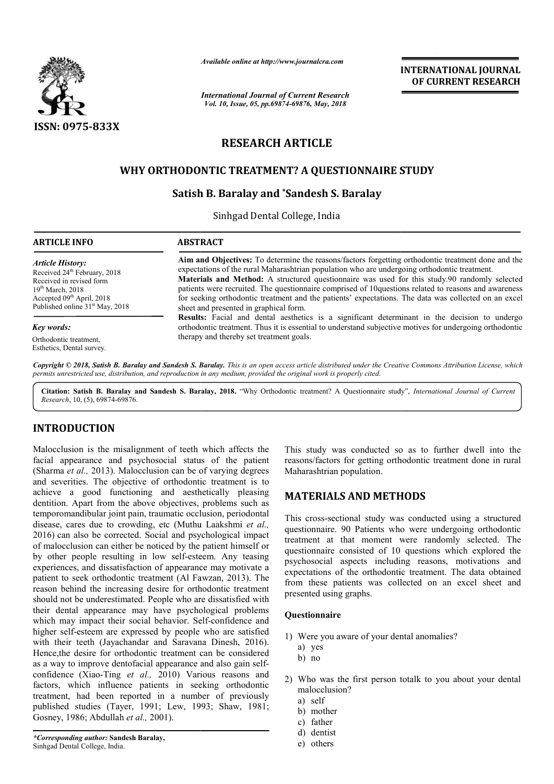

*Available online at http://www.journalcra.com*

# **RESEARCH ARTICLE**

### **WHY ORTHODONTIC TREATMENT? A QUESTIONNAIRE STUDY QUESTIONNAIRE STUDY**

## **Satish B. Baralay and \*Sandesh S. Baralay**

|                                                                                                                                                                                                                                                                                                                                                                                                                                                                                                                                                                                                                                                                   | атишне опине игнир.//www.journaicra.com                                                                                                                                                                                                                                                                                                                                                                                                                                                                                                                                                                                                                        |                                                                | <b>INTERNATIONAL JOURNAL</b><br>OF CURRENT RESEARCH                                                                                                                                                                                                                                                                                                                                                                                   |
|-------------------------------------------------------------------------------------------------------------------------------------------------------------------------------------------------------------------------------------------------------------------------------------------------------------------------------------------------------------------------------------------------------------------------------------------------------------------------------------------------------------------------------------------------------------------------------------------------------------------------------------------------------------------|----------------------------------------------------------------------------------------------------------------------------------------------------------------------------------------------------------------------------------------------------------------------------------------------------------------------------------------------------------------------------------------------------------------------------------------------------------------------------------------------------------------------------------------------------------------------------------------------------------------------------------------------------------------|----------------------------------------------------------------|---------------------------------------------------------------------------------------------------------------------------------------------------------------------------------------------------------------------------------------------------------------------------------------------------------------------------------------------------------------------------------------------------------------------------------------|
|                                                                                                                                                                                                                                                                                                                                                                                                                                                                                                                                                                                                                                                                   | <b>International Journal of Current Research</b><br>Vol. 10, Issue, 05, pp.69874-69876, May, 2018                                                                                                                                                                                                                                                                                                                                                                                                                                                                                                                                                              |                                                                |                                                                                                                                                                                                                                                                                                                                                                                                                                       |
| <b>ISSN: 0975-833X</b>                                                                                                                                                                                                                                                                                                                                                                                                                                                                                                                                                                                                                                            |                                                                                                                                                                                                                                                                                                                                                                                                                                                                                                                                                                                                                                                                |                                                                |                                                                                                                                                                                                                                                                                                                                                                                                                                       |
|                                                                                                                                                                                                                                                                                                                                                                                                                                                                                                                                                                                                                                                                   |                                                                                                                                                                                                                                                                                                                                                                                                                                                                                                                                                                                                                                                                | <b>RESEARCH ARTICLE</b>                                        |                                                                                                                                                                                                                                                                                                                                                                                                                                       |
|                                                                                                                                                                                                                                                                                                                                                                                                                                                                                                                                                                                                                                                                   | WHY ORTHODONTIC TREATMENT? A QUESTIONNAIRE STUDY                                                                                                                                                                                                                                                                                                                                                                                                                                                                                                                                                                                                               |                                                                |                                                                                                                                                                                                                                                                                                                                                                                                                                       |
|                                                                                                                                                                                                                                                                                                                                                                                                                                                                                                                                                                                                                                                                   |                                                                                                                                                                                                                                                                                                                                                                                                                                                                                                                                                                                                                                                                | Satish B. Baralay and *Sandesh S. Baralay                      |                                                                                                                                                                                                                                                                                                                                                                                                                                       |
|                                                                                                                                                                                                                                                                                                                                                                                                                                                                                                                                                                                                                                                                   |                                                                                                                                                                                                                                                                                                                                                                                                                                                                                                                                                                                                                                                                | Sinhgad Dental College, India                                  |                                                                                                                                                                                                                                                                                                                                                                                                                                       |
| <b>ARTICLE INFO</b>                                                                                                                                                                                                                                                                                                                                                                                                                                                                                                                                                                                                                                               | <b>ABSTRACT</b>                                                                                                                                                                                                                                                                                                                                                                                                                                                                                                                                                                                                                                                |                                                                |                                                                                                                                                                                                                                                                                                                                                                                                                                       |
| <b>Article History:</b><br>Received 24 <sup>th</sup> February, 2018<br>Received in revised form<br>19th March, 2018<br>Accepted 09 <sup>th</sup> April, 2018<br>Published online 31 <sup>st</sup> May, 2018                                                                                                                                                                                                                                                                                                                                                                                                                                                       | Aim and Objectives: To determine the reasons/factors forgetting orthodontic treatment done and the<br>expectations of the rural Maharashtrian population who are undergoing orthodontic treatment.<br>Materials and Method: A structured questionnaire was used for this study.90 randomly selected<br>patients were recruited. The questionnaire comprised of 10questions related to reasons and awareness<br>for seeking orthodontic treatment and the patients' expectations. The data was collected on an excel<br>sheet and presented in graphical form.<br>Results: Facial and dental aesthetics is a significant determinant in the decision to undergo |                                                                |                                                                                                                                                                                                                                                                                                                                                                                                                                       |
| Key words:<br>Orthodontic treatment.<br>Esthetics, Dental survey.                                                                                                                                                                                                                                                                                                                                                                                                                                                                                                                                                                                                 | orthodontic treatment. Thus it is essential to understand subjective motives for undergoing orthodontic<br>therapy and thereby set treatment goals.                                                                                                                                                                                                                                                                                                                                                                                                                                                                                                            |                                                                |                                                                                                                                                                                                                                                                                                                                                                                                                                       |
| Research, 10, (5), 69874-69876.                                                                                                                                                                                                                                                                                                                                                                                                                                                                                                                                                                                                                                   | permits unrestricted use, distribution, and reproduction in any medium, provided the original work is properly cited.                                                                                                                                                                                                                                                                                                                                                                                                                                                                                                                                          |                                                                | Copyright © 2018, Satish B. Baralay and Sandesh S. Baralay. This is an open access article distributed under the Creative Commons Attribution License, which<br>Citation: Satish B. Baralay and Sandesh S. Baralay, 2018. "Why Orthodontic treatment? A Questionnaire study", International Journal of Current                                                                                                                        |
| <b>INTRODUCTION</b>                                                                                                                                                                                                                                                                                                                                                                                                                                                                                                                                                                                                                                               |                                                                                                                                                                                                                                                                                                                                                                                                                                                                                                                                                                                                                                                                |                                                                |                                                                                                                                                                                                                                                                                                                                                                                                                                       |
| Malocclusion is the misalignment of teeth which affects the<br>facial appearance and psychosocial status of the patient<br>(Sharma et al., 2013). Malocclusion can be of varying degrees<br>and severities. The objective of orthodontic treatment is to                                                                                                                                                                                                                                                                                                                                                                                                          |                                                                                                                                                                                                                                                                                                                                                                                                                                                                                                                                                                                                                                                                | Maharashtrian population.                                      | This study was conducted so as to further dwell into the<br>reasons/factors for getting orthodontic treatment done in rural                                                                                                                                                                                                                                                                                                           |
| achieve a good functioning and aesthetically pleasing                                                                                                                                                                                                                                                                                                                                                                                                                                                                                                                                                                                                             |                                                                                                                                                                                                                                                                                                                                                                                                                                                                                                                                                                                                                                                                | <b>MATERIALS AND METHODS</b>                                   |                                                                                                                                                                                                                                                                                                                                                                                                                                       |
| dentition. Apart from the above objectives, problems such as<br>temporomandibular joint pain, traumatic occlusion, periodontal<br>disease, cares due to crowding, etc (Muthu Laakshmi et al.,<br>2016) can also be corrected. Social and psychological impact<br>of malocclusion can either be noticed by the patient himself or<br>by other people resulting in low self-esteem. Any teasing<br>experiences, and dissatisfaction of appearance may motivate a<br>patient to seek orthodontic treatment (Al Fawzan, 2013). The<br>reason behind the increasing desire for orthodontic treatment<br>should not be underestimated. People who are dissatisfied with |                                                                                                                                                                                                                                                                                                                                                                                                                                                                                                                                                                                                                                                                | presented using graphs.                                        | This cross-sectional study was conducted using a structured<br>questionnaire. 90 Patients who were undergoing orthodontic<br>treatment at that moment were randomly selected. The<br>questionnaire consisted of 10 questions which explored the<br>psychosocial aspects including reasons, motivations and<br>expectations of the orthodontic treatment. The data obtained<br>from these patients was collected on an excel sheet and |
| their dental appearance may have psychological problems<br>which may impact their social behavior. Self-confidence and                                                                                                                                                                                                                                                                                                                                                                                                                                                                                                                                            |                                                                                                                                                                                                                                                                                                                                                                                                                                                                                                                                                                                                                                                                | Questionnaire                                                  |                                                                                                                                                                                                                                                                                                                                                                                                                                       |
| higher self-esteem are expressed by people who are satisfied<br>with their teeth (Jayachandar and Saravana Dinesh, 2016).<br>Hence, the desire for orthodontic treatment can be considered<br>as a way to improve dentofacial appearance and also gain self-<br>confidence (Xiao-Ting et al., 2010) Various reasons and                                                                                                                                                                                                                                                                                                                                           |                                                                                                                                                                                                                                                                                                                                                                                                                                                                                                                                                                                                                                                                | 1) Were you aware of your dental anomalies?<br>a) yes<br>b) no |                                                                                                                                                                                                                                                                                                                                                                                                                                       |
|                                                                                                                                                                                                                                                                                                                                                                                                                                                                                                                                                                                                                                                                   |                                                                                                                                                                                                                                                                                                                                                                                                                                                                                                                                                                                                                                                                |                                                                | 2) Who was the first person totalk to you about your dental                                                                                                                                                                                                                                                                                                                                                                           |

### **INTRODUCTION**

Malocclusion is the misalignment of teeth which affects the facial appearance and psychosocial status of the patient (Sharma *et al.,* 2013). Malocclusion can be of varying degrees and severities. The objective of orthodontic treatment is to achieve a good functioning and aesthetically pleasing dentition. Apart from the above objectives, problems such as temporomandibular joint pain, traumatic occlusion, periodontal and severities. The objective of orthodontic treatment is to achieve a good functioning and aesthetically pleasing dentition. Apart from the above objectives, problems such as temporomandibular joint pain, traumatic occlus 2016) can also be corrected. Social and psychological impact of malocclusion can either be noticed by the patient himself or by other people resulting in low self-esteem. Any teasing by other people resulting in low self-esteem. Any teasing experiences, and dissatisfaction of appearance may motivate a patient to seek orthodontic treatment (Al Fawzan, 2013). The reason behind the increasing desire for orthodontic treatment should not be underestimated. People who are dissatisfied with their dental appearance may have psychological problems which may impact their social behavior. Self-confidence and higher self-esteem are expressed by people who are satisfied higher self-esteem are expressed by people who are satisfied<br>with their teeth (Jayachandar and Saravana Dinesh, 2016). Hence,the desire for orthodontic treatment can be considered as a way to improve dentofacial appearance and also gain selfconfidence (Xiao-Ting *et al.,* 2010) Various reasons and factors, which influence patients in seeking orthodontic treatment, had been reported in a number of previously published studies (Tayer, 1991; Lew, 1993; Shaw, 1981; Gosney, 1986; Abdullah *et al.,* 2001).

*\*Corresponding author:* **Sandesh Baralay,** Sinhgad Dental College, India.

### **MATERIALS AND METHODS METHODS**

#### **Questionnaire**

- 1) Were you aware of your dental anomalies?
	- a) yes
	- b) no
- 2) Who was the first person totalk to you about your dental malocclusion?
	- a) self
	- b) mother
	- c) father
	- d) dentist
	- e) others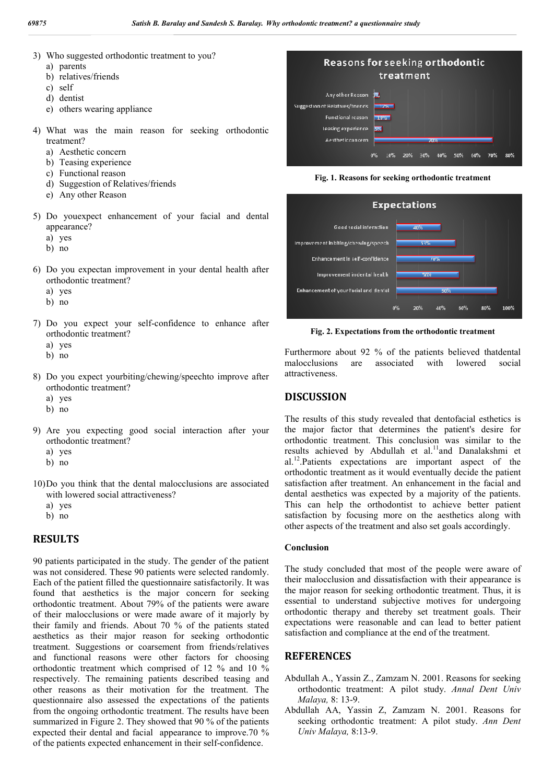- 3) Who suggested orthodontic treatment to you?
	- a) parents
	- b) relatives/friends
	- c) self
	- d) dentist
	- e) others wearing appliance
- 4) What was the main reason for seeking orthodontic treatment?
	- a) Aesthetic concern
	- b) Teasing experience
	- c) Functional reason
	- d) Suggestion of Relatives/friends
	- e) Any other Reason
- 5) Do youexpect enhancement of your facial and dental appearance?
	- a) yes
	- b) no
- 6) Do you expectan improvement in your dental health after orthodontic treatment?
	- a) yes
	- b) no
- 7) Do you expect your self-confidence to enhance after orthodontic treatment?
	- a) yes
	- b) no
- 8) Do you expect yourbiting/chewing/speechto improve after orthodontic treatment?
	- a) yes
	- b) no
- 9) Are you expecting good social interaction after your orthodontic treatment?
	- a) yes
	- b) no
- 10)Do you think that the dental malocclusions are associated with lowered social attractiveness?
	- a) yes
	- b) no

#### **RESULTS**

90 patients participated in the study. The gender of the patient was not considered. These 90 patients were selected randomly. Each of the patient filled the questionnaire satisfactorily. It was found that aesthetics is the major concern for seeking orthodontic treatment. About 79% of the patients were aware of their malocclusions or were made aware of it majorly by their family and friends. About 70 % of the patients stated aesthetics as their major reason for seeking orthodontic treatment. Suggestions or coarsement from friends/relatives and functional reasons were other factors for choosing orthodontic treatment which comprised of 12 % and 10 % respectively. The remaining patients described teasing and other reasons as their motivation for the treatment. The questionnaire also assessed the expectations of the patients from the ongoing orthodontic treatment. The results have been summarized in Figure 2. They showed that 90 % of the patients expected their dental and facial appearance to improve.70 % of the patients expected enhancement in their self-confidence.



**Fig. 1. Reasons for seeking orthodontic treatment**



**Fig. 2. Expectations from the orthodontic treatment**

Furthermore about 92 % of the patients believed thatdental malocclusions are associated with lowered social attractiveness.

#### **DISCUSSION**

The results of this study revealed that dentofacial esthetics is the major factor that determines the patient's desire for orthodontic treatment. This conclusion was similar to the results achieved by Abdullah et al.<sup>11</sup>and Danalakshmi et al.12.Patients expectations are important aspect of the orthodontic treatment as it would eventually decide the patient satisfaction after treatment. An enhancement in the facial and dental aesthetics was expected by a majority of the patients. This can help the orthodontist to achieve better patient satisfaction by focusing more on the aesthetics along with other aspects of the treatment and also set goals accordingly.

#### **Conclusion**

The study concluded that most of the people were aware of their malocclusion and dissatisfaction with their appearance is the major reason for seeking orthodontic treatment. Thus, it is essential to understand subjective motives for undergoing orthodontic therapy and thereby set treatment goals. Their expectations were reasonable and can lead to better patient satisfaction and compliance at the end of the treatment.

### **REFERENCES**

- Abdullah A., Yassin Z., Zamzam N. 2001. Reasons for seeking orthodontic treatment: A pilot study. *Annal Dent Univ Malaya,* 8: 13-9.
- Abdullah AA, Yassin Z, Zamzam N. 2001. Reasons for seeking orthodontic treatment: A pilot study. *Ann Dent Univ Malaya,* 8:13-9.